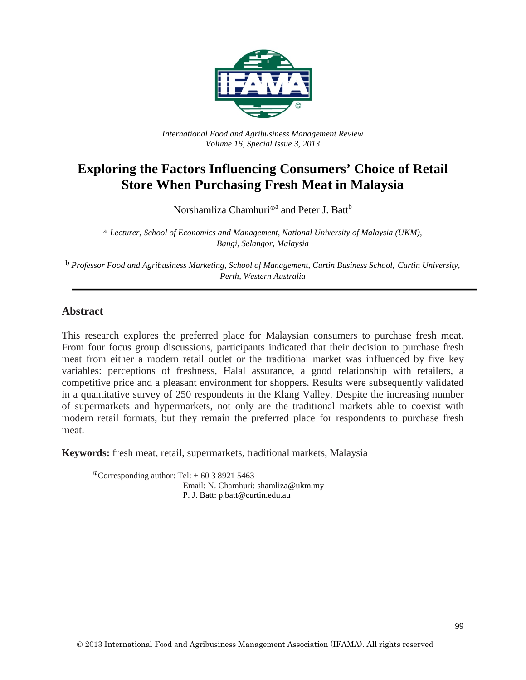

*International Food and Agribusiness Management Review Volume 16, Special Issue 3, 2013*

# **Exploring the Factors Influencing Consumers' Choice of Retail Store When Purchasing Fresh Meat in Malaysia**

Norshamliza Chamhuri<sup> $\Phi$ a</sup> and Peter J. Batt<sup>b</sup>

a *Lecturer, School of Economics and Management, National University of Malaysia (UKM), Bangi, Selangor, Malaysia*

b *Professor Food and Agribusiness Marketing, School of Management, Curtin Business School, Curtin University, Perth, Western Australia*

#### **Abstract**

This research explores the preferred place for Malaysian consumers to purchase fresh meat. From four focus group discussions, participants indicated that their decision to purchase fresh meat from either a modern retail outlet or the traditional market was influenced by five key variables: perceptions of freshness, Halal assurance, a good relationship with retailers, a competitive price and a pleasant environment for shoppers. Results were subsequently validated in a quantitative survey of 250 respondents in the Klang Valley. Despite the increasing number of supermarkets and hypermarkets, not only are the traditional markets able to coexist with modern retail formats, but they remain the preferred place for respondents to purchase fresh meat.

**Keywords:** fresh meat, retail, supermarkets, traditional markets, Malaysia

 ${}^{\circ}$ Corresponding author: Tel: + 60 3 8921 5463 Email: N. Chamhuri: shamliza@ukm.my P. J. Batt: p.batt@curtin.edu.au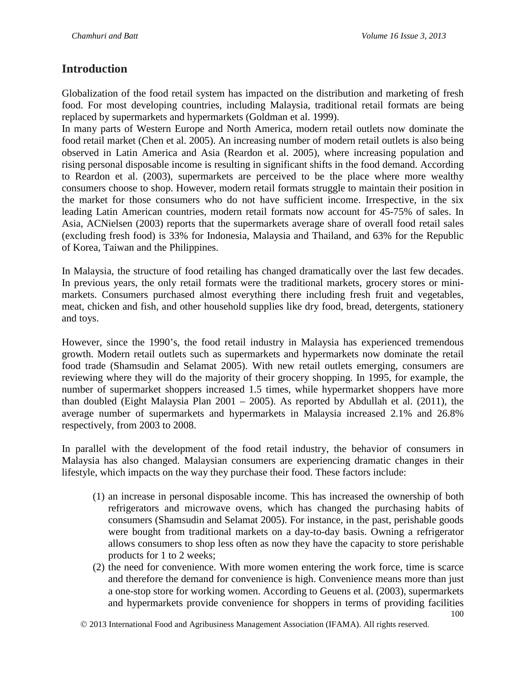### **Introduction**

Globalization of the food retail system has impacted on the distribution and marketing of fresh food. For most developing countries, including Malaysia, traditional retail formats are being replaced by supermarkets and hypermarkets (Goldman et al. 1999).

In many parts of Western Europe and North America, modern retail outlets now dominate the food retail market (Chen et al. 2005). An increasing number of modern retail outlets is also being observed in Latin America and Asia (Reardon et al. 2005), where increasing population and rising personal disposable income is resulting in significant shifts in the food demand. According to Reardon et al. (2003), supermarkets are perceived to be the place where more wealthy consumers choose to shop. However, modern retail formats struggle to maintain their position in the market for those consumers who do not have sufficient income. Irrespective, in the six leading Latin American countries, modern retail formats now account for 45-75% of sales. In Asia, ACNielsen (2003) reports that the supermarkets average share of overall food retail sales (excluding fresh food) is 33% for Indonesia, Malaysia and Thailand, and 63% for the Republic of Korea, Taiwan and the Philippines.

In Malaysia, the structure of food retailing has changed dramatically over the last few decades. In previous years, the only retail formats were the traditional markets, grocery stores or minimarkets. Consumers purchased almost everything there including fresh fruit and vegetables, meat, chicken and fish, and other household supplies like dry food, bread, detergents, stationery and toys.

However, since the 1990's, the food retail industry in Malaysia has experienced tremendous growth. Modern retail outlets such as supermarkets and hypermarkets now dominate the retail food trade (Shamsudin and Selamat 2005). With new retail outlets emerging, consumers are reviewing where they will do the majority of their grocery shopping. In 1995, for example, the number of supermarket shoppers increased 1.5 times, while hypermarket shoppers have more than doubled (Eight Malaysia Plan 2001 – 2005). As reported by Abdullah et al. (2011), the average number of supermarkets and hypermarkets in Malaysia increased 2.1% and 26.8% respectively, from 2003 to 2008.

In parallel with the development of the food retail industry, the behavior of consumers in Malaysia has also changed. Malaysian consumers are experiencing dramatic changes in their lifestyle, which impacts on the way they purchase their food. These factors include:

- (1) an increase in personal disposable income. This has increased the ownership of both refrigerators and microwave ovens, which has changed the purchasing habits of consumers (Shamsudin and Selamat 2005). For instance, in the past, perishable goods were bought from traditional markets on a day-to-day basis. Owning a refrigerator allows consumers to shop less often as now they have the capacity to store perishable products for 1 to 2 weeks;
- (2) the need for convenience. With more women entering the work force, time is scarce and therefore the demand for convenience is high. Convenience means more than just a one-stop store for working women. According to Geuens et al. (2003), supermarkets and hypermarkets provide convenience for shoppers in terms of providing facilities

2013 International Food and Agribusiness Management Association (IFAMA). All rights reserved.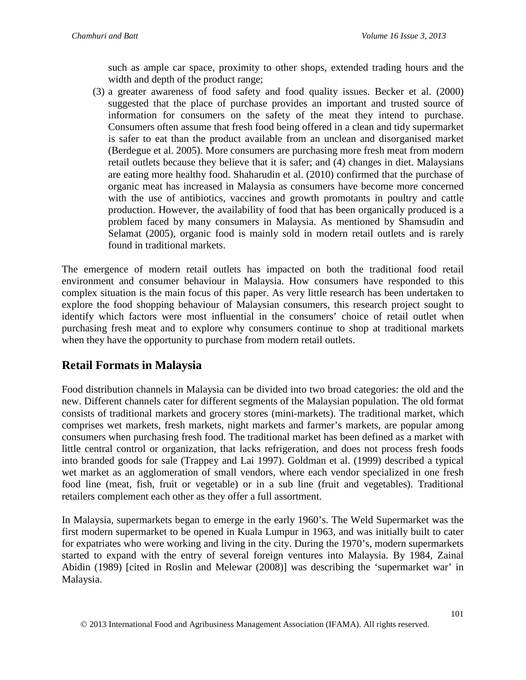such as ample car space, proximity to other shops, extended trading hours and the width and depth of the product range;

(3) a greater awareness of food safety and food quality issues. Becker et al. (2000) suggested that the place of purchase provides an important and trusted source of information for consumers on the safety of the meat they intend to purchase. Consumers often assume that fresh food being offered in a clean and tidy supermarket is safer to eat than the product available from an unclean and disorganised market (Berdegue et al. 2005). More consumers are purchasing more fresh meat from modern retail outlets because they believe that it is safer; and (4) changes in diet. Malaysians are eating more healthy food. Shaharudin et al. (2010) confirmed that the purchase of organic meat has increased in Malaysia as consumers have become more concerned with the use of antibiotics, vaccines and growth promotants in poultry and cattle production. However, the availability of food that has been organically produced is a problem faced by many consumers in Malaysia. As mentioned by Shamsudin and Selamat (2005), organic food is mainly sold in modern retail outlets and is rarely found in traditional markets.

The emergence of modern retail outlets has impacted on both the traditional food retail environment and consumer behaviour in Malaysia. How consumers have responded to this complex situation is the main focus of this paper. As very little research has been undertaken to explore the food shopping behaviour of Malaysian consumers, this research project sought to identify which factors were most influential in the consumers' choice of retail outlet when purchasing fresh meat and to explore why consumers continue to shop at traditional markets when they have the opportunity to purchase from modern retail outlets.

## **Retail Formats in Malaysia**

Food distribution channels in Malaysia can be divided into two broad categories: the old and the new. Different channels cater for different segments of the Malaysian population. The old format consists of traditional markets and grocery stores (mini-markets). The traditional market, which comprises wet markets, fresh markets, night markets and farmer's markets, are popular among consumers when purchasing fresh food. The traditional market has been defined as a market with little central control or organization, that lacks refrigeration, and does not process fresh foods into branded goods for sale (Trappey and Lai 1997). Goldman et al. (1999) described a typical wet market as an agglomeration of small vendors, where each vendor specialized in one fresh food line (meat, fish, fruit or vegetable) or in a sub line (fruit and vegetables). Traditional retailers complement each other as they offer a full assortment.

In Malaysia, supermarkets began to emerge in the early 1960's. The Weld Supermarket was the first modern supermarket to be opened in Kuala Lumpur in 1963, and was initially built to cater for expatriates who were working and living in the city. During the 1970's, modern supermarkets started to expand with the entry of several foreign ventures into Malaysia. By 1984, Zainal Abidin (1989) [cited in Roslin and Melewar (2008)] was describing the 'supermarket war' in Malaysia.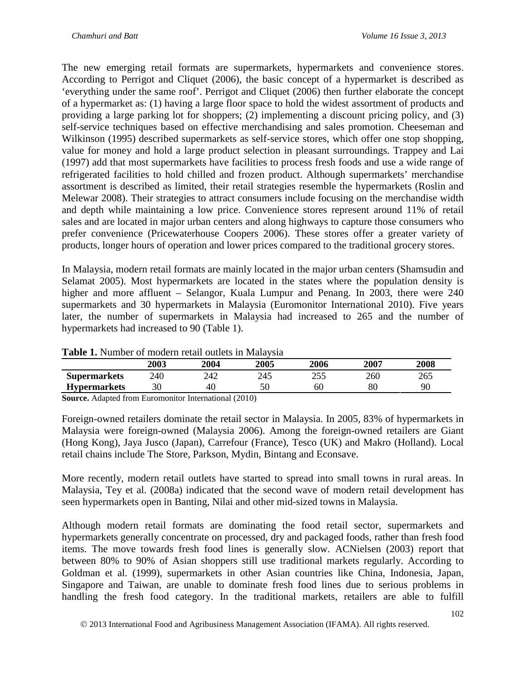The new emerging retail formats are supermarkets, hypermarkets and convenience stores. According to Perrigot and Cliquet (2006), the basic concept of a hypermarket is described as 'everything under the same roof'. Perrigot and Cliquet (2006) then further elaborate the concept of a hypermarket as: (1) having a large floor space to hold the widest assortment of products and providing a large parking lot for shoppers; (2) implementing a discount pricing policy, and (3) self-service techniques based on effective merchandising and sales promotion. Cheeseman and Wilkinson (1995) described supermarkets as self-service stores, which offer one stop shopping, value for money and hold a large product selection in pleasant surroundings. Trappey and Lai (1997) add that most supermarkets have facilities to process fresh foods and use a wide range of refrigerated facilities to hold chilled and frozen product. Although supermarkets' merchandise assortment is described as limited, their retail strategies resemble the hypermarkets (Roslin and Melewar 2008). Their strategies to attract consumers include focusing on the merchandise width and depth while maintaining a low price. Convenience stores represent around 11% of retail sales and are located in major urban centers and along highways to capture those consumers who prefer convenience (Pricewaterhouse Coopers 2006). These stores offer a greater variety of products, longer hours of operation and lower prices compared to the traditional grocery stores.

In Malaysia, modern retail formats are mainly located in the major urban centers (Shamsudin and Selamat 2005). Most hypermarkets are located in the states where the population density is higher and more affluent – Selangor, Kuala Lumpur and Penang. In 2003, there were 240 supermarkets and 30 hypermarkets in Malaysia (Euromonitor International 2010). Five years later, the number of supermarkets in Malaysia had increased to 265 and the number of hypermarkets had increased to 90 (Table 1).

|                     | 2003 | 2004 | 2005 | 2006 | 2007 | 2008 |
|---------------------|------|------|------|------|------|------|
| <b>Supermarkets</b> | 240  | 242  | 245  |      | 260  | 265  |
| <b>Hypermarkets</b> | 30   | 40   |      | 60   | 80   | 90   |

| Table 1. Number of modern retail outlets in Malaysia |  |
|------------------------------------------------------|--|
|------------------------------------------------------|--|

**Source.** Adapted from Euromonitor International (2010)

Foreign-owned retailers dominate the retail sector in Malaysia. In 2005, 83% of hypermarkets in Malaysia were foreign-owned (Malaysia 2006). Among the foreign-owned retailers are Giant (Hong Kong), Jaya Jusco (Japan), Carrefour (France), Tesco (UK) and Makro (Holland). Local retail chains include The Store, Parkson, Mydin, Bintang and Econsave.

More recently, modern retail outlets have started to spread into small towns in rural areas. In Malaysia, Tey et al. (2008a) indicated that the second wave of modern retail development has seen hypermarkets open in Banting, Nilai and other mid-sized towns in Malaysia.

Although modern retail formats are dominating the food retail sector, supermarkets and hypermarkets generally concentrate on processed, dry and packaged foods, rather than fresh food items. The move towards fresh food lines is generally slow. ACNielsen (2003) report that between 80% to 90% of Asian shoppers still use traditional markets regularly. According to Goldman et al. (1999), supermarkets in other Asian countries like China, Indonesia, Japan, Singapore and Taiwan, are unable to dominate fresh food lines due to serious problems in handling the fresh food category. In the traditional markets, retailers are able to fulfill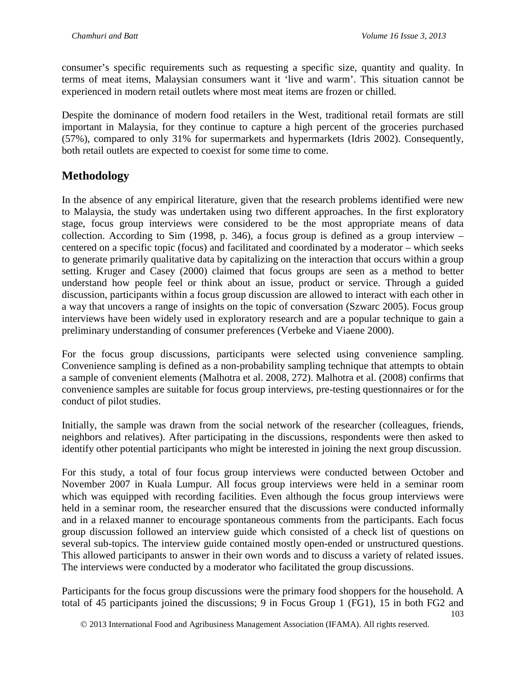consumer's specific requirements such as requesting a specific size, quantity and quality. In terms of meat items, Malaysian consumers want it 'live and warm'. This situation cannot be experienced in modern retail outlets where most meat items are frozen or chilled.

Despite the dominance of modern food retailers in the West, traditional retail formats are still important in Malaysia, for they continue to capture a high percent of the groceries purchased (57%), compared to only 31% for supermarkets and hypermarkets (Idris 2002). Consequently, both retail outlets are expected to coexist for some time to come.

## **Methodology**

In the absence of any empirical literature, given that the research problems identified were new to Malaysia, the study was undertaken using two different approaches. In the first exploratory stage, focus group interviews were considered to be the most appropriate means of data collection. According to Sim (1998, p. 346), a focus group is defined as a group interview – centered on a specific topic (focus) and facilitated and coordinated by a moderator – which seeks to generate primarily qualitative data by capitalizing on the interaction that occurs within a group setting. Kruger and Casey (2000) claimed that focus groups are seen as a method to better understand how people feel or think about an issue, product or service. Through a guided discussion, participants within a focus group discussion are allowed to interact with each other in a way that uncovers a range of insights on the topic of conversation (Szwarc 2005). Focus group interviews have been widely used in exploratory research and are a popular technique to gain a preliminary understanding of consumer preferences (Verbeke and Viaene 2000).

For the focus group discussions, participants were selected using convenience sampling. Convenience sampling is defined as a non-probability sampling technique that attempts to obtain a sample of convenient elements (Malhotra et al. 2008, 272). Malhotra et al. (2008) confirms that convenience samples are suitable for focus group interviews, pre-testing questionnaires or for the conduct of pilot studies.

Initially, the sample was drawn from the social network of the researcher (colleagues, friends, neighbors and relatives). After participating in the discussions, respondents were then asked to identify other potential participants who might be interested in joining the next group discussion.

For this study, a total of four focus group interviews were conducted between October and November 2007 in Kuala Lumpur. All focus group interviews were held in a seminar room which was equipped with recording facilities. Even although the focus group interviews were held in a seminar room, the researcher ensured that the discussions were conducted informally and in a relaxed manner to encourage spontaneous comments from the participants. Each focus group discussion followed an interview guide which consisted of a check list of questions on several sub-topics. The interview guide contained mostly open-ended or unstructured questions. This allowed participants to answer in their own words and to discuss a variety of related issues. The interviews were conducted by a moderator who facilitated the group discussions.

Participants for the focus group discussions were the primary food shoppers for the household. A total of 45 participants joined the discussions; 9 in Focus Group 1 (FG1), 15 in both FG2 and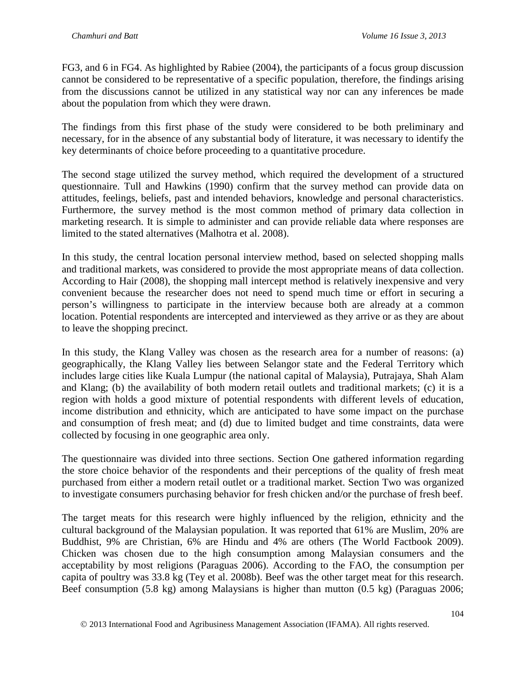FG3, and 6 in FG4. As highlighted by Rabiee (2004), the participants of a focus group discussion cannot be considered to be representative of a specific population, therefore, the findings arising from the discussions cannot be utilized in any statistical way nor can any inferences be made about the population from which they were drawn.

The findings from this first phase of the study were considered to be both preliminary and necessary, for in the absence of any substantial body of literature, it was necessary to identify the key determinants of choice before proceeding to a quantitative procedure.

The second stage utilized the survey method, which required the development of a structured questionnaire. Tull and Hawkins (1990) confirm that the survey method can provide data on attitudes, feelings, beliefs, past and intended behaviors, knowledge and personal characteristics. Furthermore, the survey method is the most common method of primary data collection in marketing research. It is simple to administer and can provide reliable data where responses are limited to the stated alternatives (Malhotra et al. 2008).

In this study, the central location personal interview method, based on selected shopping malls and traditional markets, was considered to provide the most appropriate means of data collection. According to Hair (2008), the shopping mall intercept method is relatively inexpensive and very convenient because the researcher does not need to spend much time or effort in securing a person's willingness to participate in the interview because both are already at a common location. Potential respondents are intercepted and interviewed as they arrive or as they are about to leave the shopping precinct.

In this study, the Klang Valley was chosen as the research area for a number of reasons: (a) geographically, the Klang Valley lies between Selangor state and the Federal Territory which includes large cities like Kuala Lumpur (the national capital of Malaysia), Putrajaya, Shah Alam and Klang; (b) the availability of both modern retail outlets and traditional markets; (c) it is a region with holds a good mixture of potential respondents with different levels of education, income distribution and ethnicity, which are anticipated to have some impact on the purchase and consumption of fresh meat; and (d) due to limited budget and time constraints, data were collected by focusing in one geographic area only.

The questionnaire was divided into three sections. Section One gathered information regarding the store choice behavior of the respondents and their perceptions of the quality of fresh meat purchased from either a modern retail outlet or a traditional market. Section Two was organized to investigate consumers purchasing behavior for fresh chicken and/or the purchase of fresh beef.

The target meats for this research were highly influenced by the religion, ethnicity and the cultural background of the Malaysian population. It was reported that 61% are Muslim, 20% are Buddhist, 9% are Christian, 6% are Hindu and 4% are others (The World Factbook 2009). Chicken was chosen due to the high consumption among Malaysian consumers and the acceptability by most religions (Paraguas 2006). According to the FAO, the consumption per capita of poultry was 33.8 kg (Tey et al. 2008b). Beef was the other target meat for this research. Beef consumption (5.8 kg) among Malaysians is higher than mutton (0.5 kg) (Paraguas 2006;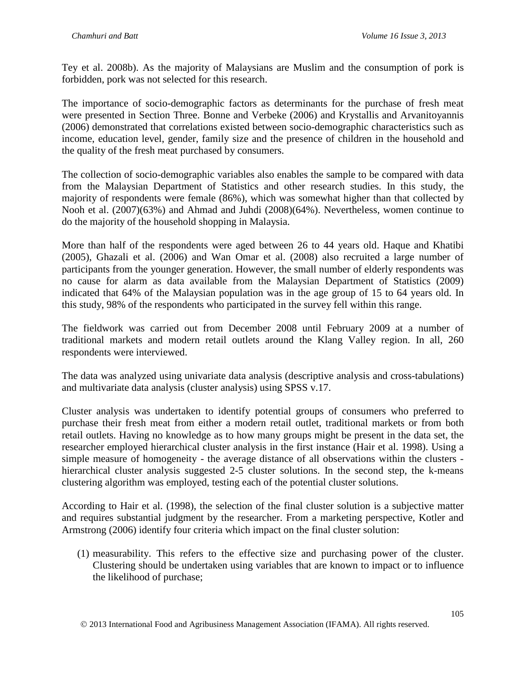Tey et al. 2008b). As the majority of Malaysians are Muslim and the consumption of pork is forbidden, pork was not selected for this research.

The importance of socio-demographic factors as determinants for the purchase of fresh meat were presented in Section Three. Bonne and Verbeke (2006) and Krystallis and Arvanitoyannis (2006) demonstrated that correlations existed between socio-demographic characteristics such as income, education level, gender, family size and the presence of children in the household and the quality of the fresh meat purchased by consumers.

The collection of socio-demographic variables also enables the sample to be compared with data from the Malaysian Department of Statistics and other research studies. In this study, the majority of respondents were female (86%), which was somewhat higher than that collected by Nooh et al. (2007)(63%) and Ahmad and Juhdi (2008)(64%). Nevertheless, women continue to do the majority of the household shopping in Malaysia.

More than half of the respondents were aged between 26 to 44 years old. Haque and Khatibi (2005), Ghazali et al. (2006) and Wan Omar et al. (2008) also recruited a large number of participants from the younger generation. However, the small number of elderly respondents was no cause for alarm as data available from the Malaysian Department of Statistics (2009) indicated that 64% of the Malaysian population was in the age group of 15 to 64 years old. In this study, 98% of the respondents who participated in the survey fell within this range.

The fieldwork was carried out from December 2008 until February 2009 at a number of traditional markets and modern retail outlets around the Klang Valley region. In all, 260 respondents were interviewed.

The data was analyzed using univariate data analysis (descriptive analysis and cross-tabulations) and multivariate data analysis (cluster analysis) using SPSS v.17.

Cluster analysis was undertaken to identify potential groups of consumers who preferred to purchase their fresh meat from either a modern retail outlet, traditional markets or from both retail outlets. Having no knowledge as to how many groups might be present in the data set, the researcher employed hierarchical cluster analysis in the first instance (Hair et al. 1998). Using a simple measure of homogeneity - the average distance of all observations within the clusters hierarchical cluster analysis suggested 2-5 cluster solutions. In the second step, the k-means clustering algorithm was employed, testing each of the potential cluster solutions.

According to Hair et al. (1998), the selection of the final cluster solution is a subjective matter and requires substantial judgment by the researcher. From a marketing perspective, Kotler and Armstrong (2006) identify four criteria which impact on the final cluster solution:

(1) measurability. This refers to the effective size and purchasing power of the cluster. Clustering should be undertaken using variables that are known to impact or to influence the likelihood of purchase;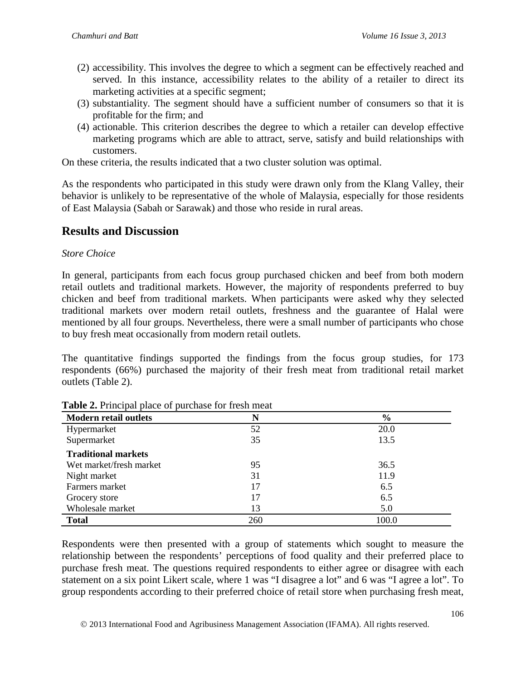- (2) accessibility. This involves the degree to which a segment can be effectively reached and served. In this instance, accessibility relates to the ability of a retailer to direct its marketing activities at a specific segment;
- (3) substantiality. The segment should have a sufficient number of consumers so that it is profitable for the firm; and
- (4) actionable. This criterion describes the degree to which a retailer can develop effective marketing programs which are able to attract, serve, satisfy and build relationships with customers.

On these criteria, the results indicated that a two cluster solution was optimal.

As the respondents who participated in this study were drawn only from the Klang Valley, their behavior is unlikely to be representative of the whole of Malaysia, especially for those residents of East Malaysia (Sabah or Sarawak) and those who reside in rural areas.

## **Results and Discussion**

### *Store Choice*

In general, participants from each focus group purchased chicken and beef from both modern retail outlets and traditional markets. However, the majority of respondents preferred to buy chicken and beef from traditional markets. When participants were asked why they selected traditional markets over modern retail outlets, freshness and the guarantee of Halal were mentioned by all four groups. Nevertheless, there were a small number of participants who chose to buy fresh meat occasionally from modern retail outlets.

The quantitative findings supported the findings from the focus group studies, for 173 respondents (66%) purchased the majority of their fresh meat from traditional retail market outlets (Table 2).

| <b>Modern retail outlets</b> | N   | $\frac{0}{0}$ |
|------------------------------|-----|---------------|
| Hypermarket                  | 52  | 20.0          |
| Supermarket                  | 35  | 13.5          |
| <b>Traditional markets</b>   |     |               |
| Wet market/fresh market      | 95  | 36.5          |
| Night market                 | 31  | 11.9          |
| Farmers market               | 17  | 6.5           |
| Grocery store                | 17  | 6.5           |
| Wholesale market             | 13  | 5.0           |
| <b>Total</b>                 | 260 | 100.0         |

Respondents were then presented with a group of statements which sought to measure the relationship between the respondents' perceptions of food quality and their preferred place to purchase fresh meat. The questions required respondents to either agree or disagree with each statement on a six point Likert scale, where 1 was "I disagree a lot" and 6 was "I agree a lot". To group respondents according to their preferred choice of retail store when purchasing fresh meat,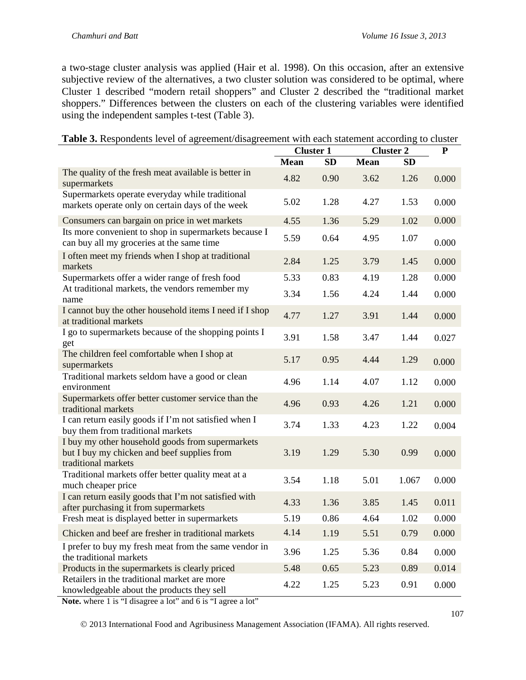a two-stage cluster analysis was applied (Hair et al. 1998). On this occasion, after an extensive subjective review of the alternatives, a two cluster solution was considered to be optimal, where Cluster 1 described "modern retail shoppers" and Cluster 2 described the "traditional market shoppers." Differences between the clusters on each of the clustering variables were identified using the independent samples t-test (Table 3).

|                                                                                                                        | <b>Cluster 1</b> |           | <b>Cluster 2</b> |           | ${\bf P}$ |
|------------------------------------------------------------------------------------------------------------------------|------------------|-----------|------------------|-----------|-----------|
|                                                                                                                        | <b>Mean</b>      | <b>SD</b> | <b>Mean</b>      | <b>SD</b> |           |
| The quality of the fresh meat available is better in<br>supermarkets                                                   | 4.82             | 0.90      | 3.62             | 1.26      | 0.000     |
| Supermarkets operate everyday while traditional<br>markets operate only on certain days of the week                    | 5.02             | 1.28      | 4.27             | 1.53      | 0.000     |
| Consumers can bargain on price in wet markets                                                                          | 4.55             | 1.36      | 5.29             | 1.02      | 0.000     |
| Its more convenient to shop in supermarkets because I<br>can buy all my groceries at the same time                     | 5.59             | 0.64      | 4.95             | 1.07      | 0.000     |
| I often meet my friends when I shop at traditional<br>markets                                                          | 2.84             | 1.25      | 3.79             | 1.45      | 0.000     |
| Supermarkets offer a wider range of fresh food                                                                         | 5.33             | 0.83      | 4.19             | 1.28      | 0.000     |
| At traditional markets, the vendors remember my<br>name                                                                | 3.34             | 1.56      | 4.24             | 1.44      | 0.000     |
| I cannot buy the other household items I need if I shop<br>at traditional markets                                      | 4.77             | 1.27      | 3.91             | 1.44      | 0.000     |
| I go to supermarkets because of the shopping points I<br>get                                                           | 3.91             | 1.58      | 3.47             | 1.44      | 0.027     |
| The children feel comfortable when I shop at<br>supermarkets                                                           | 5.17             | 0.95      | 4.44             | 1.29      | 0.000     |
| Traditional markets seldom have a good or clean<br>environment                                                         | 4.96             | 1.14      | 4.07             | 1.12      | 0.000     |
| Supermarkets offer better customer service than the<br>traditional markets                                             | 4.96             | 0.93      | 4.26             | 1.21      | 0.000     |
| I can return easily goods if I'm not satisfied when I<br>buy them from traditional markets                             | 3.74             | 1.33      | 4.23             | 1.22      | 0.004     |
| I buy my other household goods from supermarkets<br>but I buy my chicken and beef supplies from<br>traditional markets | 3.19             | 1.29      | 5.30             | 0.99      | 0.000     |
| Traditional markets offer better quality meat at a<br>much cheaper price                                               | 3.54             | 1.18      | 5.01             | 1.067     | 0.000     |
| I can return easily goods that I'm not satisfied with<br>after purchasing it from supermarkets                         | 4.33             | 1.36      | 3.85             | 1.45      | 0.011     |
| Fresh meat is displayed better in supermarkets                                                                         | 5.19             | 0.86      | 4.64             | 1.02      | 0.000     |
| Chicken and beef are fresher in traditional markets                                                                    | 4.14             | 1.19      | 5.51             | 0.79      | 0.000     |
| I prefer to buy my fresh meat from the same vendor in<br>the traditional markets                                       | 3.96             | 1.25      | 5.36             | 0.84      | 0.000     |
| Products in the supermarkets is clearly priced                                                                         | 5.48             | 0.65      | 5.23             | 0.89      | 0.014     |
| Retailers in the traditional market are more<br>knowledgeable about the products they sell                             | 4.22             | 1.25      | 5.23             | 0.91      | 0.000     |

|  |  | Table 3. Respondents level of agreement/disagreement with each statement according to cluster |
|--|--|-----------------------------------------------------------------------------------------------|
|  |  |                                                                                               |

Note. where 1 is "I disagree a lot" and 6 is "I agree a lot"

2013 International Food and Agribusiness Management Association (IFAMA). All rights reserved.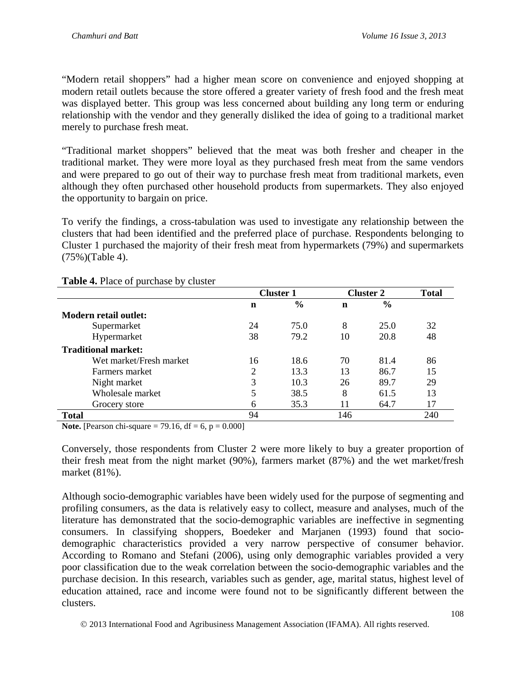"Modern retail shoppers" had a higher mean score on convenience and enjoyed shopping at modern retail outlets because the store offered a greater variety of fresh food and the fresh meat was displayed better. This group was less concerned about building any long term or enduring relationship with the vendor and they generally disliked the idea of going to a traditional market merely to purchase fresh meat.

"Traditional market shoppers" believed that the meat was both fresher and cheaper in the traditional market. They were more loyal as they purchased fresh meat from the same vendors and were prepared to go out of their way to purchase fresh meat from traditional markets, even although they often purchased other household products from supermarkets. They also enjoyed the opportunity to bargain on price.

To verify the findings, a cross-tabulation was used to investigate any relationship between the clusters that had been identified and the preferred place of purchase. Respondents belonging to Cluster 1 purchased the majority of their fresh meat from hypermarkets (79%) and supermarkets (75%)(Table 4).

|                            | <b>Cluster 1</b> |               | <b>Cluster 2</b> |               | <b>Total</b> |
|----------------------------|------------------|---------------|------------------|---------------|--------------|
|                            | n                | $\frac{6}{6}$ | n                | $\frac{6}{6}$ |              |
| Modern retail outlet:      |                  |               |                  |               |              |
| Supermarket                | 24               | 75.0          | 8                | 25.0          | 32           |
| Hypermarket                | 38               | 79.2          | 10               | 20.8          | 48           |
| <b>Traditional market:</b> |                  |               |                  |               |              |
| Wet market/Fresh market    | 16               | 18.6          | 70               | 81.4          | 86           |
| Farmers market             | $\overline{2}$   | 13.3          | 13               | 86.7          | 15           |
| Night market               | 3                | 10.3          | 26               | 89.7          | 29           |
| Wholesale market           | 5                | 38.5          | 8                | 61.5          | 13           |
| Grocery store              | 6                | 35.3          | 11               | 64.7          | 17           |
| <b>Total</b>               | 94               |               | 146              |               | 240          |

**Table 4.** Place of purchase by cluster

**Note.** [Pearson chi-square = 79.16,  $df = 6$ ,  $p = 0.000$ ]

Conversely, those respondents from Cluster 2 were more likely to buy a greater proportion of their fresh meat from the night market (90%), farmers market (87%) and the wet market/fresh market (81%).

Although socio-demographic variables have been widely used for the purpose of segmenting and profiling consumers, as the data is relatively easy to collect, measure and analyses, much of the literature has demonstrated that the socio-demographic variables are ineffective in segmenting consumers. In classifying shoppers, Boedeker and Marjanen (1993) found that sociodemographic characteristics provided a very narrow perspective of consumer behavior. According to Romano and Stefani (2006), using only demographic variables provided a very poor classification due to the weak correlation between the socio-demographic variables and the purchase decision. In this research, variables such as gender, age, marital status, highest level of education attained, race and income were found not to be significantly different between the clusters.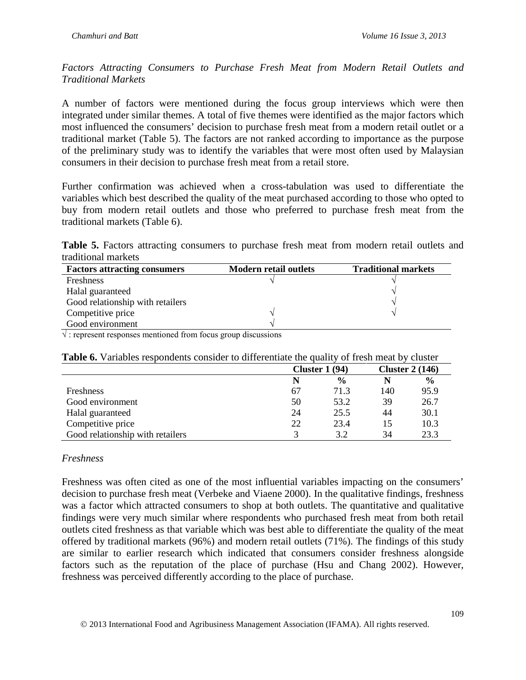*Factors Attracting Consumers to Purchase Fresh Meat from Modern Retail Outlets and Traditional Markets*

A number of factors were mentioned during the focus group interviews which were then integrated under similar themes. A total of five themes were identified as the major factors which most influenced the consumers' decision to purchase fresh meat from a modern retail outlet or a traditional market (Table 5). The factors are not ranked according to importance as the purpose of the preliminary study was to identify the variables that were most often used by Malaysian consumers in their decision to purchase fresh meat from a retail store.

Further confirmation was achieved when a cross-tabulation was used to differentiate the variables which best described the quality of the meat purchased according to those who opted to buy from modern retail outlets and those who preferred to purchase fresh meat from the traditional markets (Table 6).

Table 5. Factors attracting consumers to purchase fresh meat from modern retail outlets and traditional markets

| <b>Factors attracting consumers</b> | <b>Modern retail outlets</b> | <b>Traditional markets</b> |
|-------------------------------------|------------------------------|----------------------------|
| <b>Freshness</b>                    |                              |                            |
| Halal guaranteed                    |                              |                            |
| Good relationship with retailers    |                              |                            |
| Competitive price                   |                              |                            |
| Good environment                    |                              |                            |

 $\sqrt{\cdot}$ : represent responses mentioned from focus group discussions

#### **Table 6.** Variables respondents consider to differentiate the quality of fresh meat by cluster

|                                  | Cluster $1(94)$ |               | Cluster $2(146)$ |               |
|----------------------------------|-----------------|---------------|------------------|---------------|
|                                  |                 | $\frac{6}{9}$ | N                | $\frac{6}{6}$ |
| Freshness                        | 67              | 71.3          | 140              | 95.9          |
| Good environment                 | 50              | 53.2          | 39               | 26.7          |
| Halal guaranteed                 | 24              | 25.5          | 44               | 30.1          |
| Competitive price                | 22              | 23.4          | 15               | 10.3          |
| Good relationship with retailers |                 | 3.2           | 34               | 23.3          |

#### *Freshness*

Freshness was often cited as one of the most influential variables impacting on the consumers' decision to purchase fresh meat (Verbeke and Viaene 2000). In the qualitative findings, freshness was a factor which attracted consumers to shop at both outlets. The quantitative and qualitative findings were very much similar where respondents who purchased fresh meat from both retail outlets cited freshness as that variable which was best able to differentiate the quality of the meat offered by traditional markets (96%) and modern retail outlets (71%). The findings of this study are similar to earlier research which indicated that consumers consider freshness alongside factors such as the reputation of the place of purchase (Hsu and Chang 2002). However, freshness was perceived differently according to the place of purchase.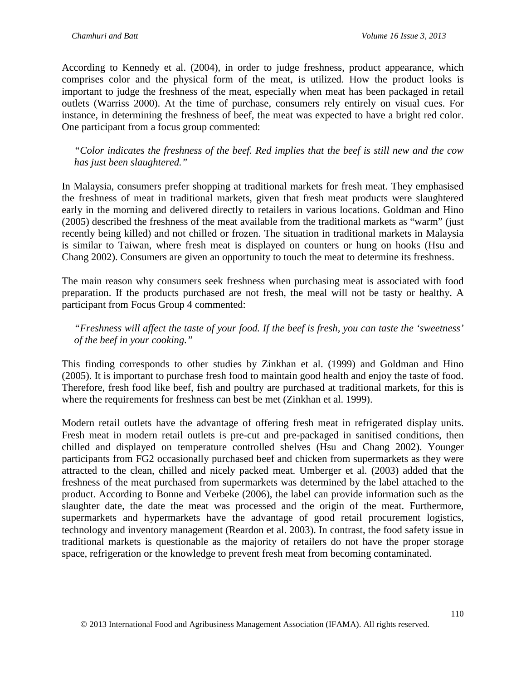According to Kennedy et al. (2004), in order to judge freshness, product appearance, which comprises color and the physical form of the meat, is utilized. How the product looks is important to judge the freshness of the meat, especially when meat has been packaged in retail outlets (Warriss 2000). At the time of purchase, consumers rely entirely on visual cues. For instance, in determining the freshness of beef, the meat was expected to have a bright red color. One participant from a focus group commented:

*"Color indicates the freshness of the beef. Red implies that the beef is still new and the cow has just been slaughtered."*

In Malaysia, consumers prefer shopping at traditional markets for fresh meat. They emphasised the freshness of meat in traditional markets, given that fresh meat products were slaughtered early in the morning and delivered directly to retailers in various locations. Goldman and Hino (2005) described the freshness of the meat available from the traditional markets as "warm" (just recently being killed) and not chilled or frozen. The situation in traditional markets in Malaysia is similar to Taiwan, where fresh meat is displayed on counters or hung on hooks (Hsu and Chang 2002). Consumers are given an opportunity to touch the meat to determine its freshness.

The main reason why consumers seek freshness when purchasing meat is associated with food preparation. If the products purchased are not fresh, the meal will not be tasty or healthy. A participant from Focus Group 4 commented:

*"Freshness will affect the taste of your food. If the beef is fresh, you can taste the 'sweetness' of the beef in your cooking."*

This finding corresponds to other studies by Zinkhan et al. (1999) and Goldman and Hino (2005). It is important to purchase fresh food to maintain good health and enjoy the taste of food. Therefore, fresh food like beef, fish and poultry are purchased at traditional markets, for this is where the requirements for freshness can best be met (Zinkhan et al. 1999).

Modern retail outlets have the advantage of offering fresh meat in refrigerated display units. Fresh meat in modern retail outlets is pre-cut and pre-packaged in sanitised conditions, then chilled and displayed on temperature controlled shelves (Hsu and Chang 2002). Younger participants from FG2 occasionally purchased beef and chicken from supermarkets as they were attracted to the clean, chilled and nicely packed meat. Umberger et al. (2003) added that the freshness of the meat purchased from supermarkets was determined by the label attached to the product. According to Bonne and Verbeke (2006), the label can provide information such as the slaughter date, the date the meat was processed and the origin of the meat. Furthermore, supermarkets and hypermarkets have the advantage of good retail procurement logistics, technology and inventory management (Reardon et al. 2003). In contrast, the food safety issue in traditional markets is questionable as the majority of retailers do not have the proper storage space, refrigeration or the knowledge to prevent fresh meat from becoming contaminated.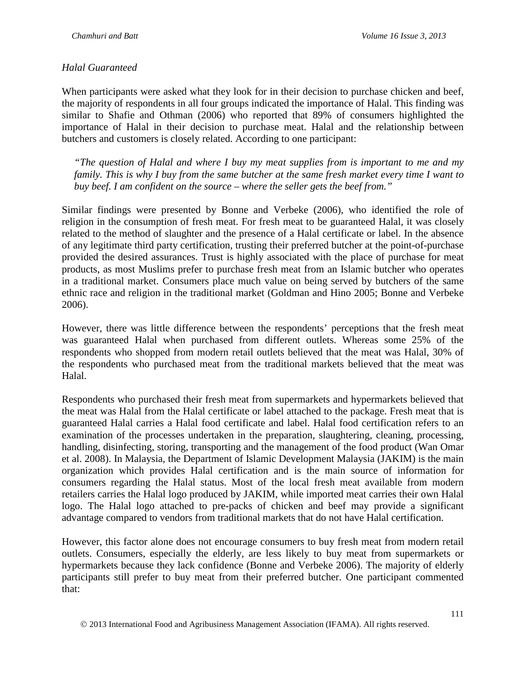#### *Halal Guaranteed*

When participants were asked what they look for in their decision to purchase chicken and beef, the majority of respondents in all four groups indicated the importance of Halal. This finding was similar to Shafie and Othman (2006) who reported that 89% of consumers highlighted the importance of Halal in their decision to purchase meat. Halal and the relationship between butchers and customers is closely related. According to one participant:

*"The question of Halal and where I buy my meat supplies from is important to me and my family. This is why I buy from the same butcher at the same fresh market every time I want to buy beef. I am confident on the source – where the seller gets the beef from."*

Similar findings were presented by Bonne and Verbeke (2006), who identified the role of religion in the consumption of fresh meat. For fresh meat to be guaranteed Halal, it was closely related to the method of slaughter and the presence of a Halal certificate or label. In the absence of any legitimate third party certification, trusting their preferred butcher at the point-of-purchase provided the desired assurances. Trust is highly associated with the place of purchase for meat products, as most Muslims prefer to purchase fresh meat from an Islamic butcher who operates in a traditional market. Consumers place much value on being served by butchers of the same ethnic race and religion in the traditional market (Goldman and Hino 2005; Bonne and Verbeke 2006).

However, there was little difference between the respondents' perceptions that the fresh meat was guaranteed Halal when purchased from different outlets. Whereas some 25% of the respondents who shopped from modern retail outlets believed that the meat was Halal, 30% of the respondents who purchased meat from the traditional markets believed that the meat was Halal.

Respondents who purchased their fresh meat from supermarkets and hypermarkets believed that the meat was Halal from the Halal certificate or label attached to the package. Fresh meat that is guaranteed Halal carries a Halal food certificate and label. Halal food certification refers to an examination of the processes undertaken in the preparation, slaughtering, cleaning, processing, handling, disinfecting, storing, transporting and the management of the food product (Wan Omar et al. 2008). In Malaysia, the Department of Islamic Development Malaysia (JAKIM) is the main organization which provides Halal certification and is the main source of information for consumers regarding the Halal status. Most of the local fresh meat available from modern retailers carries the Halal logo produced by JAKIM, while imported meat carries their own Halal logo. The Halal logo attached to pre-packs of chicken and beef may provide a significant advantage compared to vendors from traditional markets that do not have Halal certification.

However, this factor alone does not encourage consumers to buy fresh meat from modern retail outlets. Consumers, especially the elderly, are less likely to buy meat from supermarkets or hypermarkets because they lack confidence (Bonne and Verbeke 2006). The majority of elderly participants still prefer to buy meat from their preferred butcher. One participant commented that: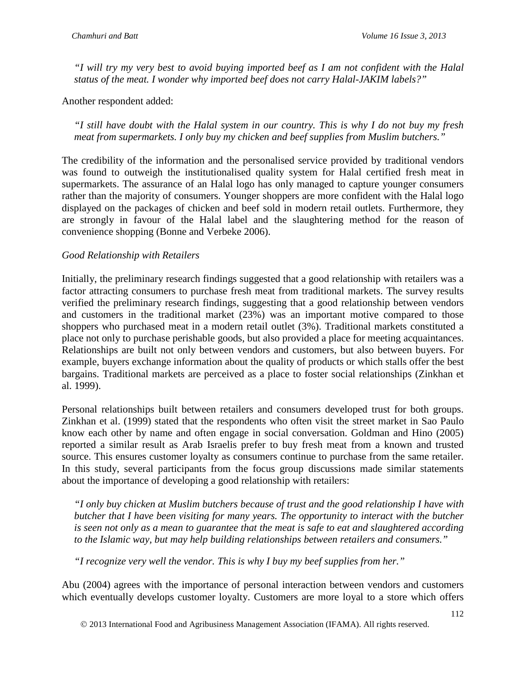*"I will try my very best to avoid buying imported beef as I am not confident with the Halal status of the meat. I wonder why imported beef does not carry Halal-JAKIM labels?"*

Another respondent added:

*"I still have doubt with the Halal system in our country. This is why I do not buy my fresh meat from supermarkets. I only buy my chicken and beef supplies from Muslim butchers."*

The credibility of the information and the personalised service provided by traditional vendors was found to outweigh the institutionalised quality system for Halal certified fresh meat in supermarkets. The assurance of an Halal logo has only managed to capture younger consumers rather than the majority of consumers. Younger shoppers are more confident with the Halal logo displayed on the packages of chicken and beef sold in modern retail outlets. Furthermore, they are strongly in favour of the Halal label and the slaughtering method for the reason of convenience shopping (Bonne and Verbeke 2006).

### *Good Relationship with Retailers*

Initially, the preliminary research findings suggested that a good relationship with retailers was a factor attracting consumers to purchase fresh meat from traditional markets. The survey results verified the preliminary research findings, suggesting that a good relationship between vendors and customers in the traditional market (23%) was an important motive compared to those shoppers who purchased meat in a modern retail outlet (3%). Traditional markets constituted a place not only to purchase perishable goods, but also provided a place for meeting acquaintances. Relationships are built not only between vendors and customers, but also between buyers. For example, buyers exchange information about the quality of products or which stalls offer the best bargains. Traditional markets are perceived as a place to foster social relationships (Zinkhan et al. 1999).

Personal relationships built between retailers and consumers developed trust for both groups. Zinkhan et al. (1999) stated that the respondents who often visit the street market in Sao Paulo know each other by name and often engage in social conversation. Goldman and Hino (2005) reported a similar result as Arab Israelis prefer to buy fresh meat from a known and trusted source. This ensures customer loyalty as consumers continue to purchase from the same retailer. In this study, several participants from the focus group discussions made similar statements about the importance of developing a good relationship with retailers:

*"I only buy chicken at Muslim butchers because of trust and the good relationship I have with butcher that I have been visiting for many years. The opportunity to interact with the butcher is seen not only as a mean to guarantee that the meat is safe to eat and slaughtered according to the Islamic way, but may help building relationships between retailers and consumers."*

*"I recognize very well the vendor. This is why I buy my beef supplies from her."*

Abu (2004) agrees with the importance of personal interaction between vendors and customers which eventually develops customer loyalty. Customers are more loyal to a store which offers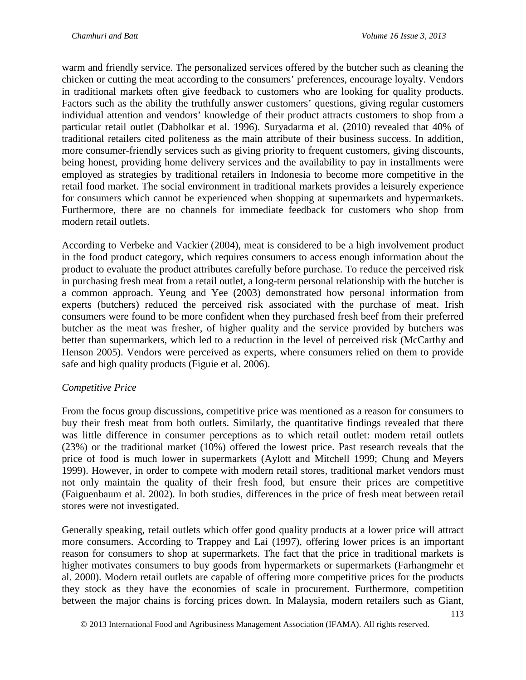warm and friendly service. The personalized services offered by the butcher such as cleaning the chicken or cutting the meat according to the consumers' preferences, encourage loyalty. Vendors in traditional markets often give feedback to customers who are looking for quality products. Factors such as the ability the truthfully answer customers' questions, giving regular customers individual attention and vendors' knowledge of their product attracts customers to shop from a particular retail outlet (Dabholkar et al. 1996). Suryadarma et al. (2010) revealed that 40% of traditional retailers cited politeness as the main attribute of their business success. In addition, more consumer-friendly services such as giving priority to frequent customers, giving discounts, being honest, providing home delivery services and the availability to pay in installments were employed as strategies by traditional retailers in Indonesia to become more competitive in the retail food market. The social environment in traditional markets provides a leisurely experience for consumers which cannot be experienced when shopping at supermarkets and hypermarkets. Furthermore, there are no channels for immediate feedback for customers who shop from modern retail outlets.

According to Verbeke and Vackier (2004), meat is considered to be a high involvement product in the food product category, which requires consumers to access enough information about the product to evaluate the product attributes carefully before purchase. To reduce the perceived risk in purchasing fresh meat from a retail outlet, a long-term personal relationship with the butcher is a common approach. Yeung and Yee (2003) demonstrated how personal information from experts (butchers) reduced the perceived risk associated with the purchase of meat. Irish consumers were found to be more confident when they purchased fresh beef from their preferred butcher as the meat was fresher, of higher quality and the service provided by butchers was better than supermarkets, which led to a reduction in the level of perceived risk (McCarthy and Henson 2005). Vendors were perceived as experts, where consumers relied on them to provide safe and high quality products (Figuie et al. 2006).

#### *Competitive Price*

From the focus group discussions, competitive price was mentioned as a reason for consumers to buy their fresh meat from both outlets. Similarly, the quantitative findings revealed that there was little difference in consumer perceptions as to which retail outlet: modern retail outlets (23%) or the traditional market (10%) offered the lowest price. Past research reveals that the price of food is much lower in supermarkets (Aylott and Mitchell 1999; Chung and Meyers 1999). However, in order to compete with modern retail stores, traditional market vendors must not only maintain the quality of their fresh food, but ensure their prices are competitive (Faiguenbaum et al. 2002). In both studies, differences in the price of fresh meat between retail stores were not investigated.

Generally speaking, retail outlets which offer good quality products at a lower price will attract more consumers. According to Trappey and Lai (1997), offering lower prices is an important reason for consumers to shop at supermarkets. The fact that the price in traditional markets is higher motivates consumers to buy goods from hypermarkets or supermarkets (Farhangmehr et al. 2000). Modern retail outlets are capable of offering more competitive prices for the products they stock as they have the economies of scale in procurement. Furthermore, competition between the major chains is forcing prices down. In Malaysia, modern retailers such as Giant,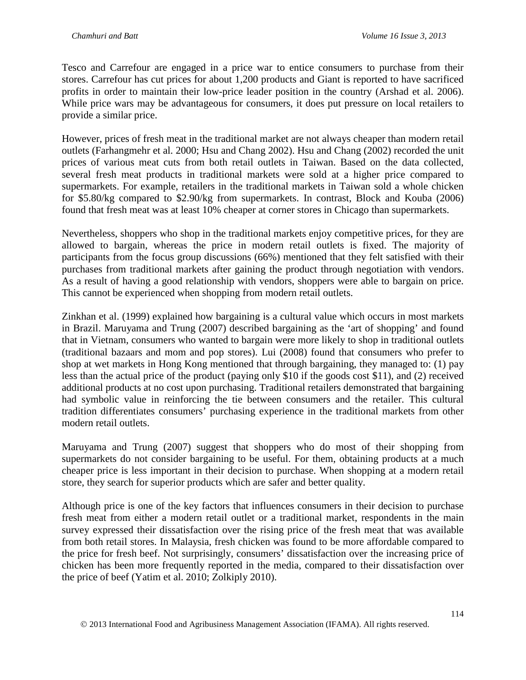Tesco and Carrefour are engaged in a price war to entice consumers to purchase from their stores. Carrefour has cut prices for about 1,200 products and Giant is reported to have sacrificed profits in order to maintain their low-price leader position in the country (Arshad et al. 2006). While price wars may be advantageous for consumers, it does put pressure on local retailers to provide a similar price.

However, prices of fresh meat in the traditional market are not always cheaper than modern retail outlets (Farhangmehr et al. 2000; Hsu and Chang 2002). Hsu and Chang (2002) recorded the unit prices of various meat cuts from both retail outlets in Taiwan. Based on the data collected, several fresh meat products in traditional markets were sold at a higher price compared to supermarkets. For example, retailers in the traditional markets in Taiwan sold a whole chicken for \$5.80/kg compared to \$2.90/kg from supermarkets. In contrast, Block and Kouba (2006) found that fresh meat was at least 10% cheaper at corner stores in Chicago than supermarkets.

Nevertheless, shoppers who shop in the traditional markets enjoy competitive prices, for they are allowed to bargain, whereas the price in modern retail outlets is fixed. The majority of participants from the focus group discussions (66%) mentioned that they felt satisfied with their purchases from traditional markets after gaining the product through negotiation with vendors. As a result of having a good relationship with vendors, shoppers were able to bargain on price. This cannot be experienced when shopping from modern retail outlets.

Zinkhan et al. (1999) explained how bargaining is a cultural value which occurs in most markets in Brazil. Maruyama and Trung (2007) described bargaining as the 'art of shopping' and found that in Vietnam, consumers who wanted to bargain were more likely to shop in traditional outlets (traditional bazaars and mom and pop stores). Lui (2008) found that consumers who prefer to shop at wet markets in Hong Kong mentioned that through bargaining, they managed to: (1) pay less than the actual price of the product (paying only \$10 if the goods cost \$11), and (2) received additional products at no cost upon purchasing. Traditional retailers demonstrated that bargaining had symbolic value in reinforcing the tie between consumers and the retailer. This cultural tradition differentiates consumers' purchasing experience in the traditional markets from other modern retail outlets.

Maruyama and Trung (2007) suggest that shoppers who do most of their shopping from supermarkets do not consider bargaining to be useful. For them, obtaining products at a much cheaper price is less important in their decision to purchase. When shopping at a modern retail store, they search for superior products which are safer and better quality.

Although price is one of the key factors that influences consumers in their decision to purchase fresh meat from either a modern retail outlet or a traditional market, respondents in the main survey expressed their dissatisfaction over the rising price of the fresh meat that was available from both retail stores. In Malaysia, fresh chicken was found to be more affordable compared to the price for fresh beef. Not surprisingly, consumers' dissatisfaction over the increasing price of chicken has been more frequently reported in the media, compared to their dissatisfaction over the price of beef (Yatim et al. 2010; Zolkiply 2010).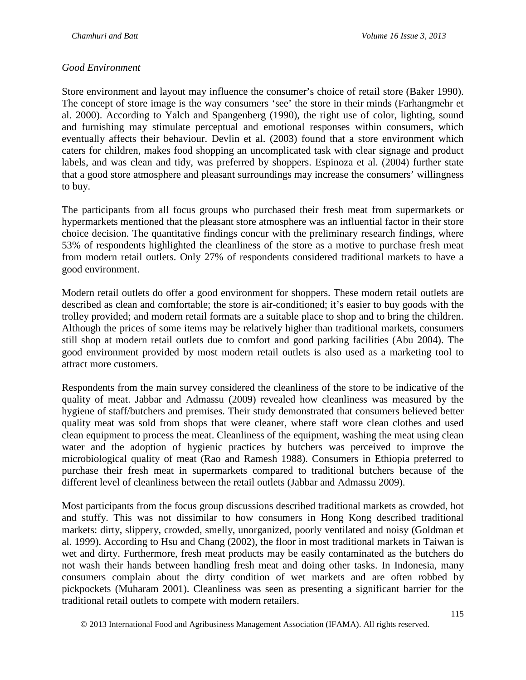#### *Good Environment*

Store environment and layout may influence the consumer's choice of retail store (Baker 1990). The concept of store image is the way consumers 'see' the store in their minds (Farhangmehr et al. 2000). According to Yalch and Spangenberg (1990), the right use of color, lighting, sound and furnishing may stimulate perceptual and emotional responses within consumers, which eventually affects their behaviour. Devlin et al. (2003) found that a store environment which caters for children, makes food shopping an uncomplicated task with clear signage and product labels, and was clean and tidy, was preferred by shoppers. Espinoza et al. (2004) further state that a good store atmosphere and pleasant surroundings may increase the consumers' willingness to buy.

The participants from all focus groups who purchased their fresh meat from supermarkets or hypermarkets mentioned that the pleasant store atmosphere was an influential factor in their store choice decision. The quantitative findings concur with the preliminary research findings, where 53% of respondents highlighted the cleanliness of the store as a motive to purchase fresh meat from modern retail outlets. Only 27% of respondents considered traditional markets to have a good environment.

Modern retail outlets do offer a good environment for shoppers. These modern retail outlets are described as clean and comfortable; the store is air-conditioned; it's easier to buy goods with the trolley provided; and modern retail formats are a suitable place to shop and to bring the children. Although the prices of some items may be relatively higher than traditional markets, consumers still shop at modern retail outlets due to comfort and good parking facilities (Abu 2004). The good environment provided by most modern retail outlets is also used as a marketing tool to attract more customers.

Respondents from the main survey considered the cleanliness of the store to be indicative of the quality of meat. Jabbar and Admassu (2009) revealed how cleanliness was measured by the hygiene of staff/butchers and premises. Their study demonstrated that consumers believed better quality meat was sold from shops that were cleaner, where staff wore clean clothes and used clean equipment to process the meat. Cleanliness of the equipment, washing the meat using clean water and the adoption of hygienic practices by butchers was perceived to improve the microbiological quality of meat (Rao and Ramesh 1988). Consumers in Ethiopia preferred to purchase their fresh meat in supermarkets compared to traditional butchers because of the different level of cleanliness between the retail outlets (Jabbar and Admassu 2009).

Most participants from the focus group discussions described traditional markets as crowded, hot and stuffy. This was not dissimilar to how consumers in Hong Kong described traditional markets: dirty, slippery, crowded, smelly, unorganized, poorly ventilated and noisy (Goldman et al. 1999). According to Hsu and Chang (2002), the floor in most traditional markets in Taiwan is wet and dirty. Furthermore, fresh meat products may be easily contaminated as the butchers do not wash their hands between handling fresh meat and doing other tasks. In Indonesia, many consumers complain about the dirty condition of wet markets and are often robbed by pickpockets (Muharam 2001). Cleanliness was seen as presenting a significant barrier for the traditional retail outlets to compete with modern retailers.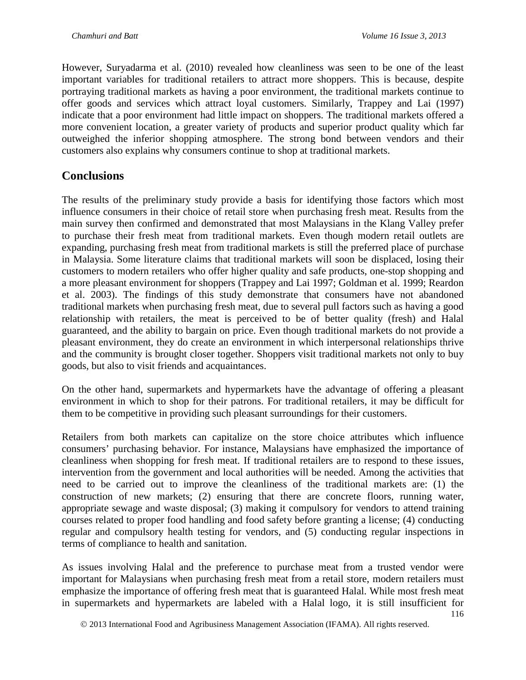However, Suryadarma et al. (2010) revealed how cleanliness was seen to be one of the least important variables for traditional retailers to attract more shoppers. This is because, despite portraying traditional markets as having a poor environment, the traditional markets continue to offer goods and services which attract loyal customers. Similarly, Trappey and Lai (1997) indicate that a poor environment had little impact on shoppers. The traditional markets offered a more convenient location, a greater variety of products and superior product quality which far outweighed the inferior shopping atmosphere. The strong bond between vendors and their customers also explains why consumers continue to shop at traditional markets.

## **Conclusions**

The results of the preliminary study provide a basis for identifying those factors which most influence consumers in their choice of retail store when purchasing fresh meat. Results from the main survey then confirmed and demonstrated that most Malaysians in the Klang Valley prefer to purchase their fresh meat from traditional markets. Even though modern retail outlets are expanding, purchasing fresh meat from traditional markets is still the preferred place of purchase in Malaysia. Some literature claims that traditional markets will soon be displaced, losing their customers to modern retailers who offer higher quality and safe products, one-stop shopping and a more pleasant environment for shoppers (Trappey and Lai 1997; Goldman et al. 1999; Reardon et al. 2003). The findings of this study demonstrate that consumers have not abandoned traditional markets when purchasing fresh meat, due to several pull factors such as having a good relationship with retailers, the meat is perceived to be of better quality (fresh) and Halal guaranteed, and the ability to bargain on price. Even though traditional markets do not provide a pleasant environment, they do create an environment in which interpersonal relationships thrive and the community is brought closer together. Shoppers visit traditional markets not only to buy goods, but also to visit friends and acquaintances.

On the other hand, supermarkets and hypermarkets have the advantage of offering a pleasant environment in which to shop for their patrons. For traditional retailers, it may be difficult for them to be competitive in providing such pleasant surroundings for their customers.

Retailers from both markets can capitalize on the store choice attributes which influence consumers' purchasing behavior. For instance, Malaysians have emphasized the importance of cleanliness when shopping for fresh meat. If traditional retailers are to respond to these issues, intervention from the government and local authorities will be needed. Among the activities that need to be carried out to improve the cleanliness of the traditional markets are: (1) the construction of new markets; (2) ensuring that there are concrete floors, running water, appropriate sewage and waste disposal; (3) making it compulsory for vendors to attend training courses related to proper food handling and food safety before granting a license; (4) conducting regular and compulsory health testing for vendors, and (5) conducting regular inspections in terms of compliance to health and sanitation.

As issues involving Halal and the preference to purchase meat from a trusted vendor were important for Malaysians when purchasing fresh meat from a retail store, modern retailers must emphasize the importance of offering fresh meat that is guaranteed Halal. While most fresh meat in supermarkets and hypermarkets are labeled with a Halal logo, it is still insufficient for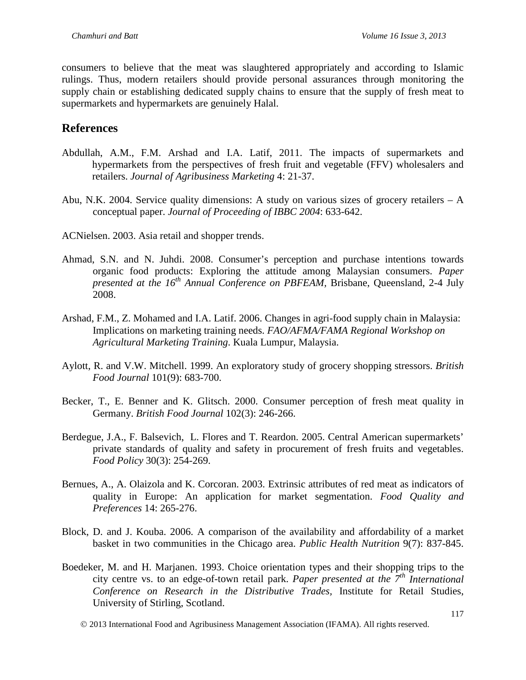consumers to believe that the meat was slaughtered appropriately and according to Islamic rulings. Thus, modern retailers should provide personal assurances through monitoring the supply chain or establishing dedicated supply chains to ensure that the supply of fresh meat to supermarkets and hypermarkets are genuinely Halal.

### **References**

- Abdullah, A.M., F.M. Arshad and I.A. Latif, 2011. The impacts of supermarkets and hypermarkets from the perspectives of fresh fruit and vegetable (FFV) wholesalers and retailers. *Journal of Agribusiness Marketing* 4: 21-37.
- Abu, N.K. 2004. Service quality dimensions: A study on various sizes of grocery retailers A conceptual paper. *Journal of Proceeding of IBBC 2004*: 633-642.

ACNielsen. 2003. Asia retail and shopper trends.

- Ahmad, S.N. and N. Juhdi. 2008. Consumer's perception and purchase intentions towards organic food products: Exploring the attitude among Malaysian consumers. *Paper presented at the 16th Annual Conference on PBFEAM,* Brisbane, Queensland, 2-4 July 2008.
- Arshad, F.M., Z. Mohamed and I.A. Latif. 2006. Changes in agri-food supply chain in Malaysia: Implications on marketing training needs. *FAO/AFMA/FAMA Regional Workshop on Agricultural Marketing Training*. Kuala Lumpur, Malaysia.
- Aylott, R. and V.W. Mitchell. 1999. An exploratory study of grocery shopping stressors. *British Food Journal* 101(9): 683-700.
- Becker, T., E. Benner and K. Glitsch. 2000. Consumer perception of fresh meat quality in Germany. *British Food Journal* 102(3): 246-266.
- Berdegue, J.A., F. Balsevich, L. Flores and T. Reardon. 2005. Central American supermarkets' private standards of quality and safety in procurement of fresh fruits and vegetables. *Food Policy* 30(3): 254-269.
- Bernues, A., A. Olaizola and K. Corcoran. 2003. Extrinsic attributes of red meat as indicators of quality in Europe: An application for market segmentation. *Food Quality and Preferences* 14: 265-276.
- Block, D. and J. Kouba. 2006. A comparison of the availability and affordability of a market basket in two communities in the Chicago area. *Public Health Nutrition* 9(7): 837-845.
- Boedeker, M. and H. Marjanen. 1993. Choice orientation types and their shopping trips to the city centre vs. to an edge-of-town retail park. *Paper presented at the 7th International Conference on Research in the Distributive Trades,* Institute for Retail Studies, University of Stirling, Scotland.
	- 2013 International Food and Agribusiness Management Association (IFAMA). All rights reserved.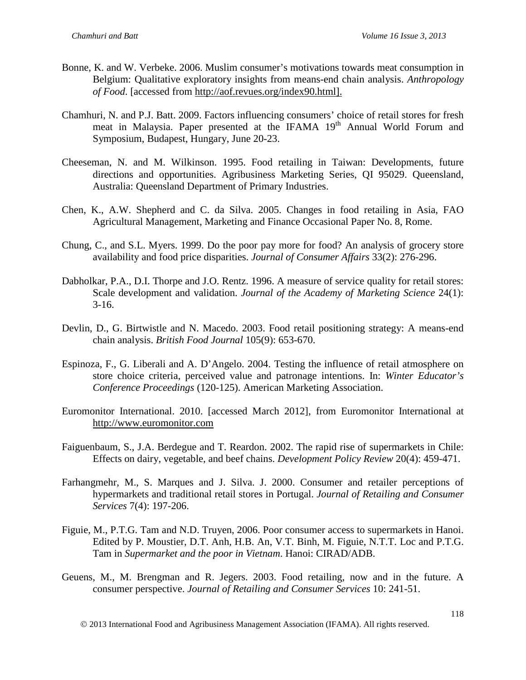- Bonne, K. and W. Verbeke. 2006. Muslim consumer's motivations towards meat consumption in Belgium: Qualitative exploratory insights from means-end chain analysis. *Anthropology of Food*. [accessed from [http://aof.revues.org/index90.html\]](http://aof.revues.org/index90.html).
- Chamhuri, N. and P.J. Batt. 2009. Factors influencing consumers' choice of retail stores for fresh meat in Malaysia. Paper presented at the IFAMA 19<sup>th</sup> Annual World Forum and Symposium, Budapest, Hungary, June 20-23.
- Cheeseman, N. and M. Wilkinson. 1995. Food retailing in Taiwan: Developments, future directions and opportunities. Agribusiness Marketing Series, QI 95029. Queensland, Australia: Queensland Department of Primary Industries.
- Chen, K., A.W. Shepherd and C. da Silva. 2005. Changes in food retailing in Asia, FAO Agricultural Management, Marketing and Finance Occasional Paper No. 8, Rome.
- Chung, C., and S.L. Myers. 1999. Do the poor pay more for food? An analysis of grocery store availability and food price disparities. *Journal of Consumer Affairs* 33(2): 276-296.
- Dabholkar, P.A., D.I. Thorpe and J.O. Rentz. 1996. A measure of service quality for retail stores: Scale development and validation. *Journal of the Academy of Marketing Science* 24(1):  $3-16.$
- Devlin, D., G. Birtwistle and N. Macedo. 2003. Food retail positioning strategy: A means-end chain analysis. *British Food Journal* 105(9): 653-670.
- Espinoza, F., G. Liberali and A. D'Angelo. 2004. Testing the influence of retail atmosphere on store choice criteria, perceived value and patronage intentions. In: *Winter Educator's Conference Proceedings* (120-125). American Marketing Association.
- Euromonitor International. 2010. [accessed March 2012], from Euromonitor International at [http://www.euromonitor.com](http://www.euromonitor.com/)
- Faiguenbaum, S., J.A. Berdegue and T. Reardon. 2002. The rapid rise of supermarkets in Chile: Effects on dairy, vegetable, and beef chains. *Development Policy Review* 20(4): 459-471.
- Farhangmehr, M., S. Marques and J. Silva. J. 2000. Consumer and retailer perceptions of hypermarkets and traditional retail stores in Portugal. *Journal of Retailing and Consumer Services* 7(4): 197-206.
- Figuie, M., P.T.G. Tam and N.D. Truyen, 2006. Poor consumer access to supermarkets in Hanoi. Edited by P. Moustier, D.T. Anh, H.B. An, V.T. Binh, M. Figuie, N.T.T. Loc and P.T.G. Tam in *Supermarket and the poor in Vietnam*. Hanoi: CIRAD/ADB.
- Geuens, M., M. Brengman and R. Jegers. 2003. Food retailing, now and in the future. A consumer perspective. *Journal of Retailing and Consumer Services* 10: 241-51.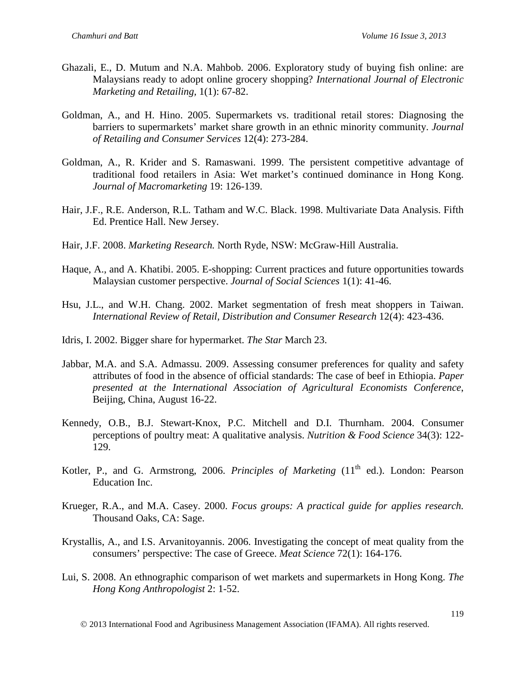- Ghazali, E., D. Mutum and N.A. Mahbob. 2006. Exploratory study of buying fish online: are Malaysians ready to adopt online grocery shopping? *International Journal of Electronic Marketing and Retailing,* 1(1): 67-82.
- Goldman, A., and H. Hino. 2005. Supermarkets vs. traditional retail stores: Diagnosing the barriers to supermarkets' market share growth in an ethnic minority community. *Journal of Retailing and Consumer Services* 12(4): 273-284.
- Goldman, A., R. Krider and S. Ramaswani. 1999. The persistent competitive advantage of traditional food retailers in Asia: Wet market's continued dominance in Hong Kong. *Journal of Macromarketing* 19: 126-139.
- Hair, J.F., R.E. Anderson, R.L. Tatham and W.C. Black. 1998. Multivariate Data Analysis. Fifth Ed. Prentice Hall. New Jersey.
- Hair, J.F. 2008. *Marketing Research.* North Ryde, NSW: McGraw-Hill Australia.
- Haque, A., and A. Khatibi. 2005. E-shopping: Current practices and future opportunities towards Malaysian customer perspective. *Journal of Social Sciences* 1(1): 41-46.
- Hsu, J.L., and W.H. Chang. 2002. Market segmentation of fresh meat shoppers in Taiwan. *International Review of Retail, Distribution and Consumer Research* 12(4): 423-436.
- Idris, I. 2002. Bigger share for hypermarket. *The Star* March 23.
- Jabbar, M.A. and S.A. Admassu. 2009. Assessing consumer preferences for quality and safety attributes of food in the absence of official standards: The case of beef in Ethiopia. *Paper presented at the International Association of Agricultural Economists Conference*, Beijing, China, August 16-22.
- Kennedy, O.B., B.J. Stewart-Knox, P.C. Mitchell and D.I. Thurnham. 2004. Consumer perceptions of poultry meat: A qualitative analysis. *Nutrition & Food Science* 34(3): 122- 129.
- Kotler, P., and G. Armstrong, 2006. *Principles of Marketing* (11<sup>th</sup> ed.). London: Pearson Education Inc.
- Krueger, R.A., and M.A. Casey. 2000. *Focus groups: A practical guide for applies research.*  Thousand Oaks, CA: Sage.
- Krystallis, A., and I.S. Arvanitoyannis. 2006. Investigating the concept of meat quality from the consumers' perspective: The case of Greece. *Meat Science* 72(1): 164-176.
- Lui, S. 2008. An ethnographic comparison of wet markets and supermarkets in Hong Kong. *The Hong Kong Anthropologist* 2: 1-52.

2013 International Food and Agribusiness Management Association (IFAMA). All rights reserved.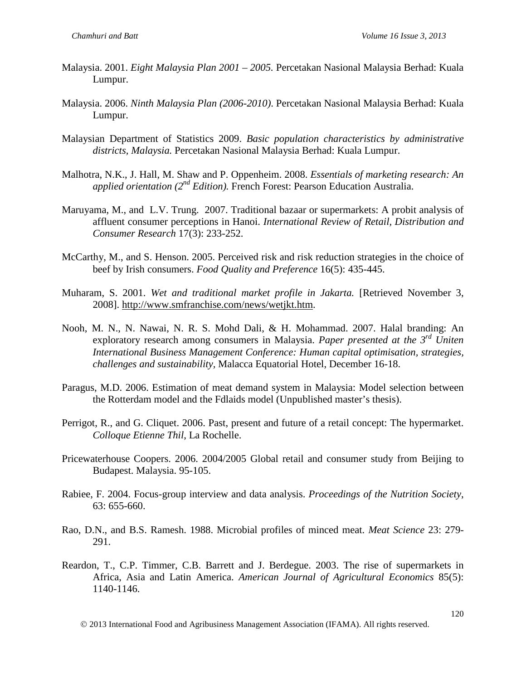- Malaysia. 2001. *Eight Malaysia Plan 2001 – 2005.* Percetakan Nasional Malaysia Berhad: Kuala Lumpur.
- Malaysia. 2006. *Ninth Malaysia Plan (2006-2010)*. Percetakan Nasional Malaysia Berhad: Kuala Lumpur.
- Malaysian Department of Statistics 2009. *Basic population characteristics by administrative districts, Malaysia.* Percetakan Nasional Malaysia Berhad: Kuala Lumpur.
- Malhotra, N.K., J. Hall, M. Shaw and P. Oppenheim. 2008. *Essentials of marketing research: An applied orientation (2nd Edition).* French Forest: Pearson Education Australia.
- Maruyama, M., and L.V. Trung. 2007. Traditional bazaar or supermarkets: A probit analysis of affluent consumer perceptions in Hanoi. *International Review of Retail, Distribution and Consumer Research* 17(3): 233-252.
- McCarthy, M., and S. Henson. 2005. Perceived risk and risk reduction strategies in the choice of beef by Irish consumers. *Food Quality and Preference* 16(5): 435-445.
- Muharam, S. 2001. *Wet and traditional market profile in Jakarta*. [Retrieved November 3, 2008]. [http://www.smfranchise.com/news/wetjkt.htm.](http://www.smfranchise.com/news/wetjkt.htm)
- Nooh, M. N., N. Nawai, N. R. S. Mohd Dali, & H. Mohammad. 2007. Halal branding: An exploratory research among consumers in Malaysia. *Paper presented at the 3rd Uniten International Business Management Conference: Human capital optimisation, strategies, challenges and sustainability,* Malacca Equatorial Hotel, December 16-18.
- Paragus, M.D. 2006. Estimation of meat demand system in Malaysia: Model selection between the Rotterdam model and the Fdlaids model (Unpublished master's thesis).
- Perrigot, R., and G. Cliquet. 2006. Past, present and future of a retail concept: The hypermarket. *Colloque Etienne Thil*, La Rochelle.
- Pricewaterhouse Coopers. 2006. 2004/2005 Global retail and consumer study from Beijing to Budapest. Malaysia. 95-105.
- Rabiee, F. 2004. Focus-group interview and data analysis. *Proceedings of the Nutrition Society*, 63: 655-660.
- Rao, D.N., and B.S. Ramesh. 1988. Microbial profiles of minced meat. *Meat Science* 23: 279- 291.
- Reardon, T., C.P. Timmer, C.B. Barrett and J. Berdegue. 2003. The rise of supermarkets in Africa, Asia and Latin America. *American Journal of Agricultural Economics* 85(5): 1140-1146.

2013 International Food and Agribusiness Management Association (IFAMA). All rights reserved.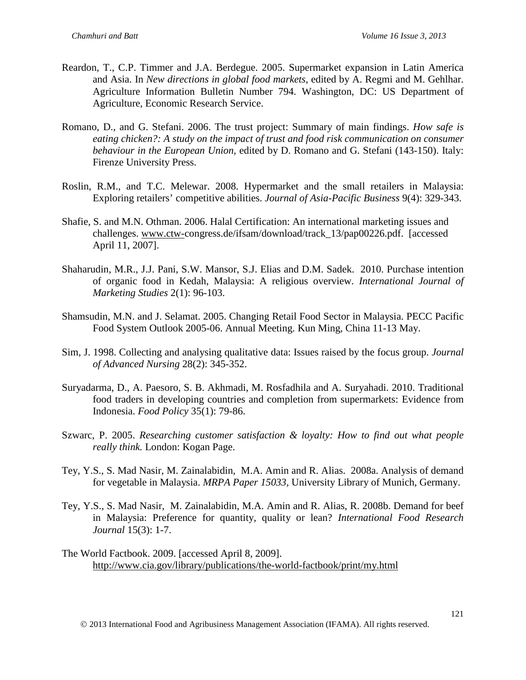- Reardon, T., C.P. Timmer and J.A. Berdegue. 2005. Supermarket expansion in Latin America and Asia. In *New directions in global food markets*, edited by A. Regmi and M. Gehlhar. Agriculture Information Bulletin Number 794. Washington, DC: US Department of Agriculture, Economic Research Service.
- Romano, D., and G. Stefani. 2006. The trust project: Summary of main findings. *How safe is eating chicken?: A study on the impact of trust and food risk communication on consumer behaviour in the European Union,* edited by D. Romano and G. Stefani (143-150). Italy: Firenze University Press.
- Roslin, R.M., and T.C. Melewar. 2008. Hypermarket and the small retailers in Malaysia: Exploring retailers' competitive abilities. *Journal of Asia-Pacific Business* 9(4): 329-343.
- Shafie, S. and M.N. Othman. 2006. Halal Certification: An international marketing issues and challenges. [www.ctw-c](http://www.ctw-/)ongress.de/ifsam/download/track\_13/pap00226.pdf. [accessed April 11, 2007].
- Shaharudin, M.R., J.J. Pani, S.W. Mansor, S.J. Elias and D.M. Sadek. 2010. Purchase intention of organic food in Kedah, Malaysia: A religious overview. *International Journal of Marketing Studies* 2(1): 96-103.
- Shamsudin, M.N. and J. Selamat. 2005. Changing Retail Food Sector in Malaysia. PECC Pacific Food System Outlook 2005-06. Annual Meeting. Kun Ming, China 11-13 May.
- Sim, J. 1998. Collecting and analysing qualitative data: Issues raised by the focus group. *Journal of Advanced Nursing* 28(2): 345-352.
- Suryadarma, D., A. Paesoro, S. B. Akhmadi, M. Rosfadhila and A. Suryahadi. 2010. Traditional food traders in developing countries and completion from supermarkets: Evidence from Indonesia. *Food Policy* 35(1): 79-86.
- Szwarc, P. 2005. *Researching customer satisfaction & loyalty: How to find out what people really think.* London: Kogan Page.
- Tey, Y.S., S. Mad Nasir, M. Zainalabidin, M.A. Amin and R. Alias. 2008a. Analysis of demand for vegetable in Malaysia. *MRPA Paper 15033,* University Library of Munich, Germany.
- Tey, Y.S., S. Mad Nasir, M. Zainalabidin, M.A. Amin and R. Alias, R. 2008b. Demand for beef in Malaysia: Preference for quantity, quality or lean? *International Food Research Journal* 15(3): 1-7.
- The World Factbook. 2009. [accessed April 8, 2009]. <http://www.cia.gov/library/publications/the-world-factbook/print/my.html>